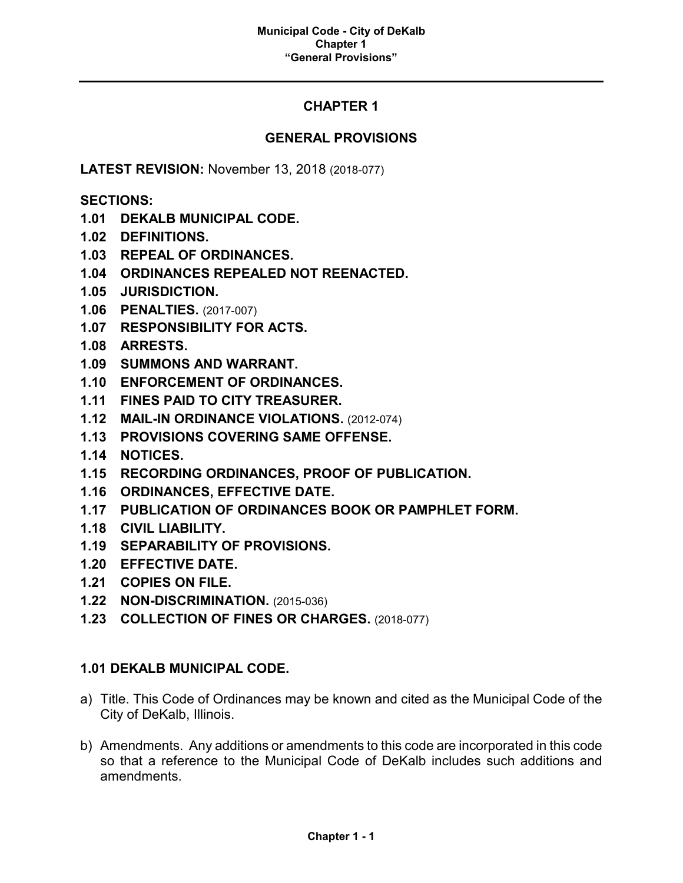# **CHAPTER 1**

# **GENERAL PROVISIONS**

**LATEST REVISION:** November 13, 2018 (2018-077)

**SECTIONS:**

- **1.01 DEKALB MUNICIPAL CODE.**
- **1.02 DEFINITIONS.**
- **1.03 REPEAL OF ORDINANCES.**
- **1.04 ORDINANCES REPEALED NOT REENACTED.**
- **1.05 JURISDICTION.**
- **1.06 PENALTIES.** (2017-007)
- **1.07 RESPONSIBILITY FOR ACTS.**
- **1.08 ARRESTS.**
- **1.09 SUMMONS AND WARRANT.**
- **1.10 ENFORCEMENT OF ORDINANCES.**
- **1.11 FINES PAID TO CITY TREASURER.**
- **1.12 MAIL-IN ORDINANCE VIOLATIONS.** (2012-074)
- **1.13 PROVISIONS COVERING SAME OFFENSE.**
- **1.14 NOTICES.**
- **1.15 RECORDING ORDINANCES, PROOF OF PUBLICATION.**
- **1.16 ORDINANCES, EFFECTIVE DATE.**
- **1.17 PUBLICATION OF ORDINANCES BOOK OR PAMPHLET FORM.**
- **1.18 CIVIL LIABILITY.**
- **1.19 SEPARABILITY OF PROVISIONS.**
- **1.20 EFFECTIVE DATE.**
- **1.21 COPIES ON FILE.**
- **1.22 NON-DISCRIMINATION.** (2015-036)
- **1.23 COLLECTION OF FINES OR CHARGES.** (2018-077)

# **1.01 DEKALB MUNICIPAL CODE.**

- a) Title. This Code of Ordinances may be known and cited as the Municipal Code of the City of DeKalb, Illinois.
- b) Amendments. Any additions or amendments to this code are incorporated in this code so that a reference to the Municipal Code of DeKalb includes such additions and amendments.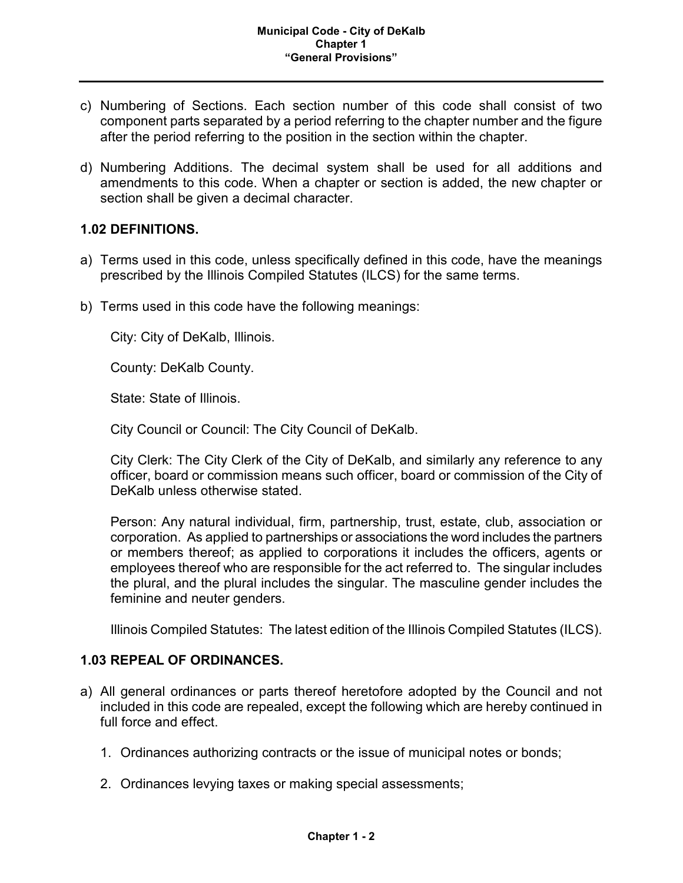- c) Numbering of Sections. Each section number of this code shall consist of two component parts separated by a period referring to the chapter number and the figure after the period referring to the position in the section within the chapter.
- d) Numbering Additions. The decimal system shall be used for all additions and amendments to this code. When a chapter or section is added, the new chapter or section shall be given a decimal character.

### **1.02 DEFINITIONS.**

- a) Terms used in this code, unless specifically defined in this code, have the meanings prescribed by the Illinois Compiled Statutes (ILCS) for the same terms.
- b) Terms used in this code have the following meanings:

City: City of DeKalb, Illinois.

County: DeKalb County.

State: State of Illinois.

City Council or Council: The City Council of DeKalb.

City Clerk: The City Clerk of the City of DeKalb, and similarly any reference to any officer, board or commission means such officer, board or commission of the City of DeKalb unless otherwise stated.

Person: Any natural individual, firm, partnership, trust, estate, club, association or corporation. As applied to partnerships or associations the word includes the partners or members thereof; as applied to corporations it includes the officers, agents or employees thereof who are responsible for the act referred to. The singular includes the plural, and the plural includes the singular. The masculine gender includes the feminine and neuter genders.

Illinois Compiled Statutes: The latest edition of the Illinois Compiled Statutes (ILCS).

#### **1.03 REPEAL OF ORDINANCES.**

- a) All general ordinances or parts thereof heretofore adopted by the Council and not included in this code are repealed, except the following which are hereby continued in full force and effect.
	- 1. Ordinances authorizing contracts or the issue of municipal notes or bonds;
	- 2. Ordinances levying taxes or making special assessments;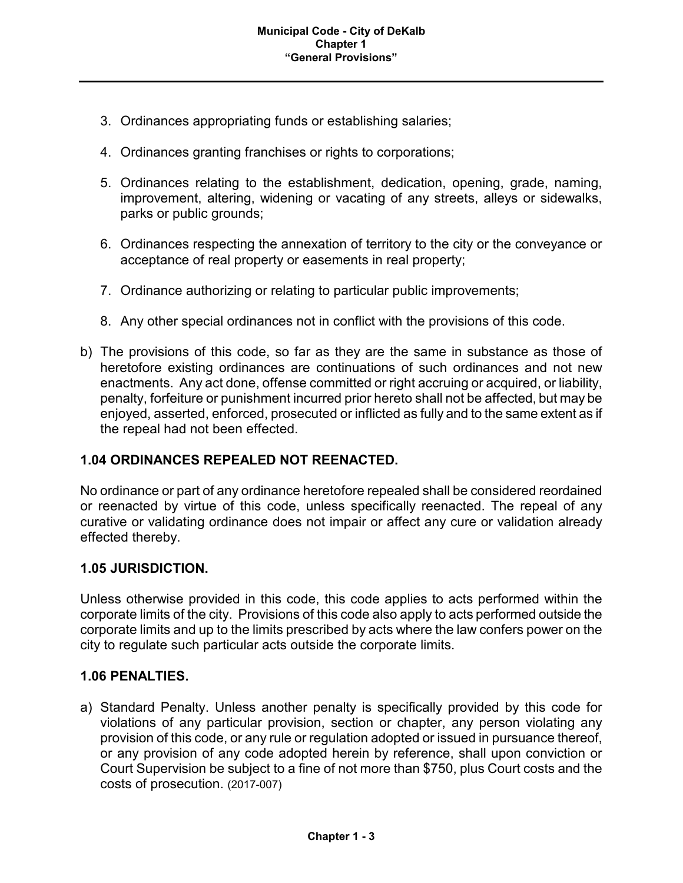- 3. Ordinances appropriating funds or establishing salaries;
- 4. Ordinances granting franchises or rights to corporations;
- 5. Ordinances relating to the establishment, dedication, opening, grade, naming, improvement, altering, widening or vacating of any streets, alleys or sidewalks, parks or public grounds;
- 6. Ordinances respecting the annexation of territory to the city or the conveyance or acceptance of real property or easements in real property;
- 7. Ordinance authorizing or relating to particular public improvements;
- 8. Any other special ordinances not in conflict with the provisions of this code.
- b) The provisions of this code, so far as they are the same in substance as those of heretofore existing ordinances are continuations of such ordinances and not new enactments. Any act done, offense committed or right accruing or acquired, or liability, penalty, forfeiture or punishment incurred prior hereto shall not be affected, but may be enjoyed, asserted, enforced, prosecuted or inflicted as fully and to the same extent as if the repeal had not been effected.

# **1.04 ORDINANCES REPEALED NOT REENACTED.**

No ordinance or part of any ordinance heretofore repealed shall be considered reordained or reenacted by virtue of this code, unless specifically reenacted. The repeal of any curative or validating ordinance does not impair or affect any cure or validation already effected thereby.

#### **1.05 JURISDICTION.**

Unless otherwise provided in this code, this code applies to acts performed within the corporate limits of the city. Provisions of this code also apply to acts performed outside the corporate limits and up to the limits prescribed by acts where the law confers power on the city to regulate such particular acts outside the corporate limits.

#### **1.06 PENALTIES.**

a) Standard Penalty. Unless another penalty is specifically provided by this code for violations of any particular provision, section or chapter, any person violating any provision of this code, or any rule or regulation adopted or issued in pursuance thereof, or any provision of any code adopted herein by reference, shall upon conviction or Court Supervision be subject to a fine of not more than \$750, plus Court costs and the costs of prosecution. (2017-007)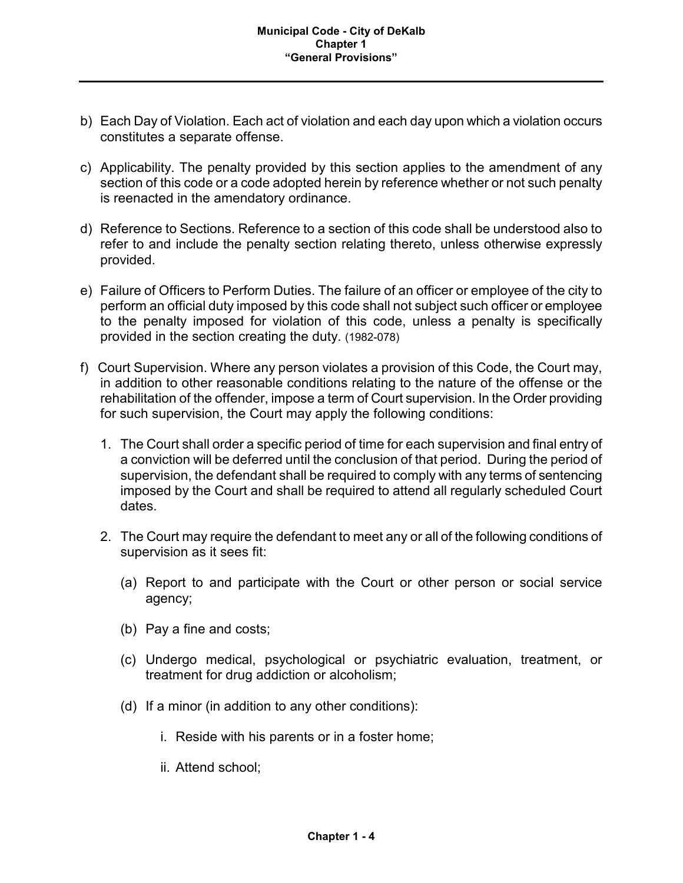- b) Each Day of Violation. Each act of violation and each day upon which a violation occurs constitutes a separate offense.
- c) Applicability. The penalty provided by this section applies to the amendment of any section of this code or a code adopted herein by reference whether or not such penalty is reenacted in the amendatory ordinance.
- d) Reference to Sections. Reference to a section of this code shall be understood also to refer to and include the penalty section relating thereto, unless otherwise expressly provided.
- e) Failure of Officers to Perform Duties. The failure of an officer or employee of the city to perform an official duty imposed by this code shall not subject such officer or employee to the penalty imposed for violation of this code, unless a penalty is specifically provided in the section creating the duty. (1982-078)
- f) Court Supervision. Where any person violates a provision of this Code, the Court may, in addition to other reasonable conditions relating to the nature of the offense or the rehabilitation of the offender, impose a term of Court supervision. In the Order providing for such supervision, the Court may apply the following conditions:
	- 1. The Court shall order a specific period of time for each supervision and final entry of a conviction will be deferred until the conclusion of that period. During the period of supervision, the defendant shall be required to comply with any terms of sentencing imposed by the Court and shall be required to attend all regularly scheduled Court dates.
	- 2. The Court may require the defendant to meet any or all of the following conditions of supervision as it sees fit:
		- (a) Report to and participate with the Court or other person or social service agency;
		- (b) Pay a fine and costs;
		- (c) Undergo medical, psychological or psychiatric evaluation, treatment, or treatment for drug addiction or alcoholism;
		- (d) If a minor (in addition to any other conditions):
			- i. Reside with his parents or in a foster home;
			- ii. Attend school;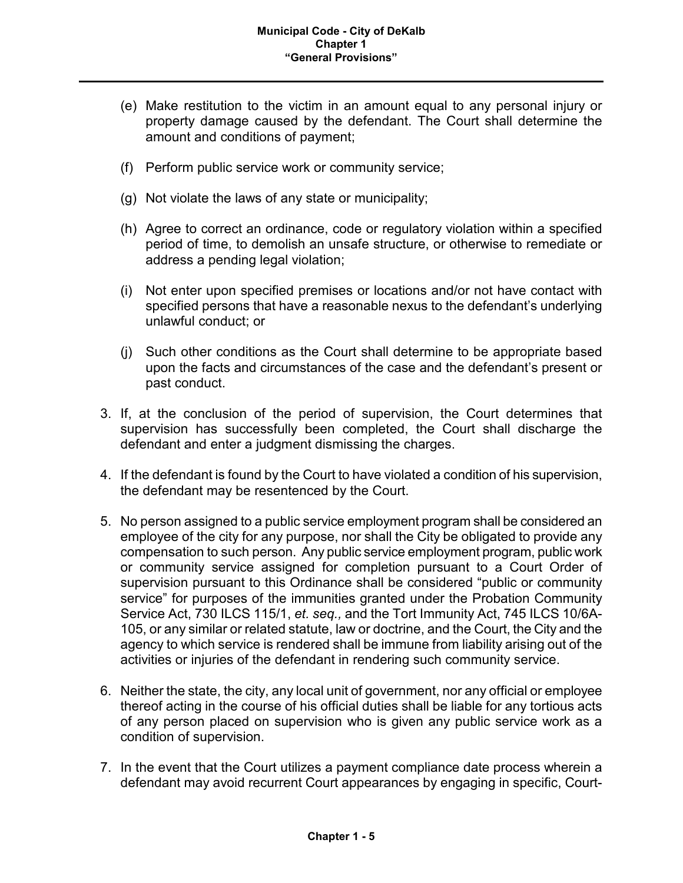- (e) Make restitution to the victim in an amount equal to any personal injury or property damage caused by the defendant. The Court shall determine the amount and conditions of payment;
- (f) Perform public service work or community service;
- (g) Not violate the laws of any state or municipality;
- (h) Agree to correct an ordinance, code or regulatory violation within a specified period of time, to demolish an unsafe structure, or otherwise to remediate or address a pending legal violation;
- (i) Not enter upon specified premises or locations and/or not have contact with specified persons that have a reasonable nexus to the defendant's underlying unlawful conduct; or
- (j) Such other conditions as the Court shall determine to be appropriate based upon the facts and circumstances of the case and the defendant's present or past conduct.
- 3. If, at the conclusion of the period of supervision, the Court determines that supervision has successfully been completed, the Court shall discharge the defendant and enter a judgment dismissing the charges.
- 4. If the defendant is found by the Court to have violated a condition of his supervision, the defendant may be resentenced by the Court.
- 5. No person assigned to a public service employment program shall be considered an employee of the city for any purpose, nor shall the City be obligated to provide any compensation to such person. Any public service employment program, public work or community service assigned for completion pursuant to a Court Order of supervision pursuant to this Ordinance shall be considered "public or community service" for purposes of the immunities granted under the Probation Community Service Act, 730 ILCS 115/1, *et. seq.,* and the Tort Immunity Act, 745 ILCS 10/6A-105, or any similar or related statute, law or doctrine, and the Court, the City and the agency to which service is rendered shall be immune from liability arising out of the activities or injuries of the defendant in rendering such community service.
- 6. Neither the state, the city, any local unit of government, nor any official or employee thereof acting in the course of his official duties shall be liable for any tortious acts of any person placed on supervision who is given any public service work as a condition of supervision.
- 7. In the event that the Court utilizes a payment compliance date process wherein a defendant may avoid recurrent Court appearances by engaging in specific, Court-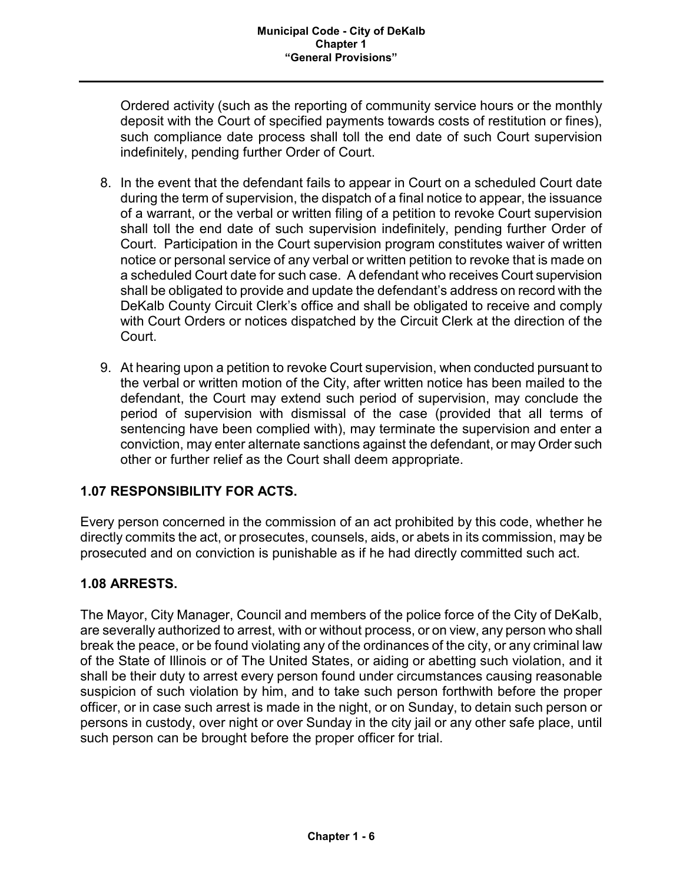Ordered activity (such as the reporting of community service hours or the monthly deposit with the Court of specified payments towards costs of restitution or fines), such compliance date process shall toll the end date of such Court supervision indefinitely, pending further Order of Court.

- 8. In the event that the defendant fails to appear in Court on a scheduled Court date during the term of supervision, the dispatch of a final notice to appear, the issuance of a warrant, or the verbal or written filing of a petition to revoke Court supervision shall toll the end date of such supervision indefinitely, pending further Order of Court. Participation in the Court supervision program constitutes waiver of written notice or personal service of any verbal or written petition to revoke that is made on a scheduled Court date for such case. A defendant who receives Court supervision shall be obligated to provide and update the defendant's address on record with the DeKalb County Circuit Clerk's office and shall be obligated to receive and comply with Court Orders or notices dispatched by the Circuit Clerk at the direction of the Court.
- 9. At hearing upon a petition to revoke Court supervision, when conducted pursuant to the verbal or written motion of the City, after written notice has been mailed to the defendant, the Court may extend such period of supervision, may conclude the period of supervision with dismissal of the case (provided that all terms of sentencing have been complied with), may terminate the supervision and enter a conviction, may enter alternate sanctions against the defendant, or may Order such other or further relief as the Court shall deem appropriate.

# **1.07 RESPONSIBILITY FOR ACTS.**

Every person concerned in the commission of an act prohibited by this code, whether he directly commits the act, or prosecutes, counsels, aids, or abets in its commission, may be prosecuted and on conviction is punishable as if he had directly committed such act.

# **1.08 ARRESTS.**

The Mayor, City Manager, Council and members of the police force of the City of DeKalb, are severally authorized to arrest, with or without process, or on view, any person who shall break the peace, or be found violating any of the ordinances of the city, or any criminal law of the State of Illinois or of The United States, or aiding or abetting such violation, and it shall be their duty to arrest every person found under circumstances causing reasonable suspicion of such violation by him, and to take such person forthwith before the proper officer, or in case such arrest is made in the night, or on Sunday, to detain such person or persons in custody, over night or over Sunday in the city jail or any other safe place, until such person can be brought before the proper officer for trial.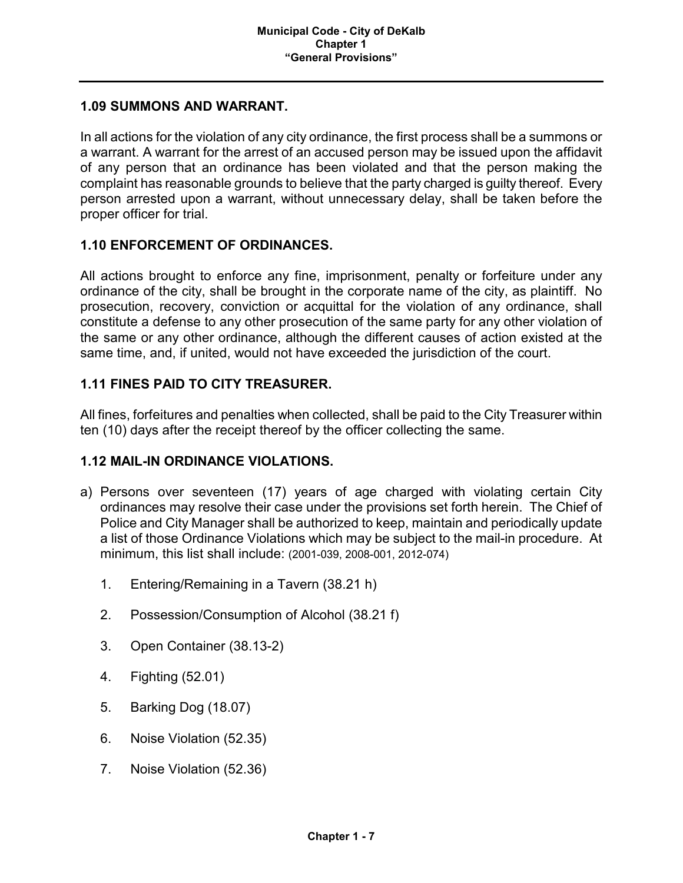### **1.09 SUMMONS AND WARRANT.**

In all actions for the violation of any city ordinance, the first process shall be a summons or a warrant. A warrant for the arrest of an accused person may be issued upon the affidavit of any person that an ordinance has been violated and that the person making the complaint has reasonable grounds to believe that the party charged is guilty thereof. Every person arrested upon a warrant, without unnecessary delay, shall be taken before the proper officer for trial.

### **1.10 ENFORCEMENT OF ORDINANCES.**

All actions brought to enforce any fine, imprisonment, penalty or forfeiture under any ordinance of the city, shall be brought in the corporate name of the city, as plaintiff. No prosecution, recovery, conviction or acquittal for the violation of any ordinance, shall constitute a defense to any other prosecution of the same party for any other violation of the same or any other ordinance, although the different causes of action existed at the same time, and, if united, would not have exceeded the jurisdiction of the court.

# **1.11 FINES PAID TO CITY TREASURER.**

All fines, forfeitures and penalties when collected, shall be paid to the City Treasurer within ten (10) days after the receipt thereof by the officer collecting the same.

#### **1.12 MAIL-IN ORDINANCE VIOLATIONS.**

- a) Persons over seventeen (17) years of age charged with violating certain City ordinances may resolve their case under the provisions set forth herein. The Chief of Police and City Manager shall be authorized to keep, maintain and periodically update a list of those Ordinance Violations which may be subject to the mail-in procedure. At minimum, this list shall include: (2001-039, 2008-001, 2012-074)
	- 1. Entering/Remaining in a Tavern (38.21 h)
	- 2. Possession/Consumption of Alcohol (38.21 f)
	- 3. Open Container (38.13-2)
	- 4. Fighting (52.01)
	- 5. Barking Dog (18.07)
	- 6. Noise Violation (52.35)
	- 7. Noise Violation (52.36)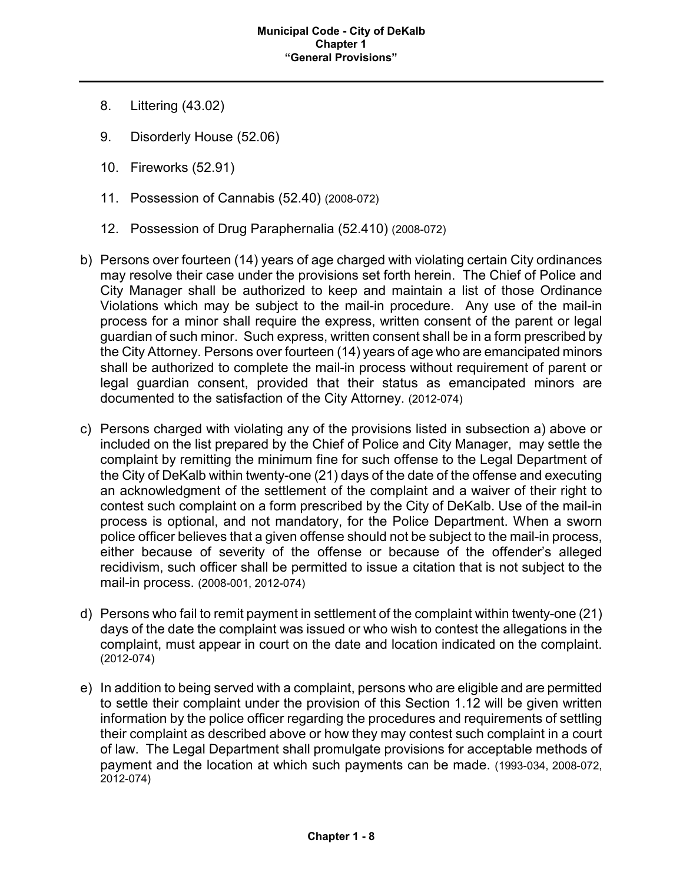- 8. Littering (43.02)
- 9. Disorderly House (52.06)
- 10. Fireworks (52.91)
- 11. Possession of Cannabis (52.40) (2008-072)
- 12. Possession of Drug Paraphernalia (52.410) (2008-072)
- b) Persons over fourteen (14) years of age charged with violating certain City ordinances may resolve their case under the provisions set forth herein. The Chief of Police and City Manager shall be authorized to keep and maintain a list of those Ordinance Violations which may be subject to the mail-in procedure. Any use of the mail-in process for a minor shall require the express, written consent of the parent or legal guardian of such minor. Such express, written consent shall be in a form prescribed by the City Attorney. Persons over fourteen (14) years of age who are emancipated minors shall be authorized to complete the mail-in process without requirement of parent or legal guardian consent, provided that their status as emancipated minors are documented to the satisfaction of the City Attorney. (2012-074)
- c) Persons charged with violating any of the provisions listed in subsection a) above or included on the list prepared by the Chief of Police and City Manager, may settle the complaint by remitting the minimum fine for such offense to the Legal Department of the City of DeKalb within twenty-one (21) days of the date of the offense and executing an acknowledgment of the settlement of the complaint and a waiver of their right to contest such complaint on a form prescribed by the City of DeKalb. Use of the mail-in process is optional, and not mandatory, for the Police Department. When a sworn police officer believes that a given offense should not be subject to the mail-in process, either because of severity of the offense or because of the offender's alleged recidivism, such officer shall be permitted to issue a citation that is not subject to the mail-in process. (2008-001, 2012-074)
- d) Persons who fail to remit payment in settlement of the complaint within twenty-one (21) days of the date the complaint was issued or who wish to contest the allegations in the complaint, must appear in court on the date and location indicated on the complaint. (2012-074)
- e) In addition to being served with a complaint, persons who are eligible and are permitted to settle their complaint under the provision of this Section 1.12 will be given written information by the police officer regarding the procedures and requirements of settling their complaint as described above or how they may contest such complaint in a court of law. The Legal Department shall promulgate provisions for acceptable methods of payment and the location at which such payments can be made. (1993-034, 2008-072, 2012-074)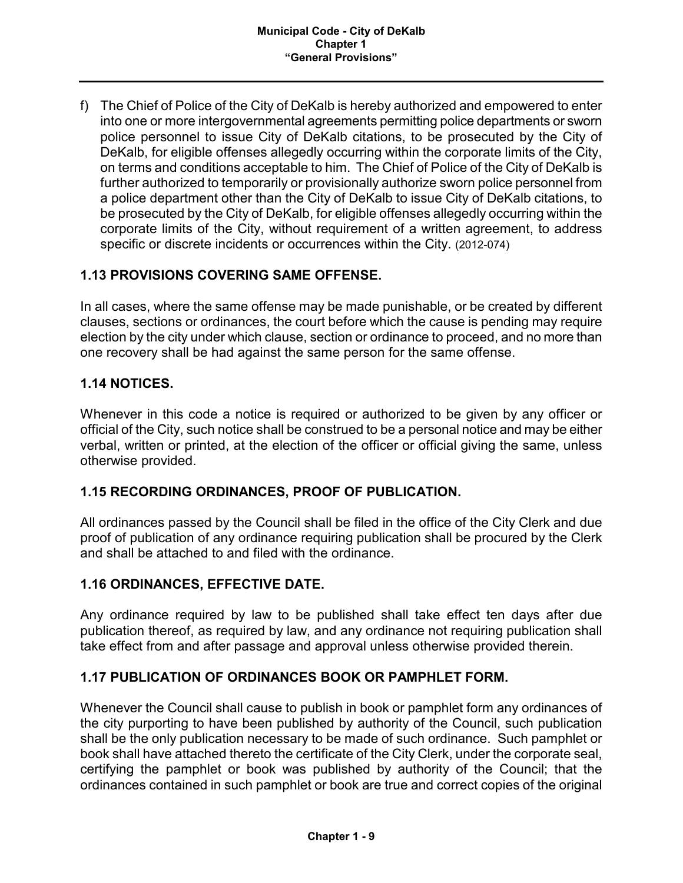f) The Chief of Police of the City of DeKalb is hereby authorized and empowered to enter into one or more intergovernmental agreements permitting police departments or sworn police personnel to issue City of DeKalb citations, to be prosecuted by the City of DeKalb, for eligible offenses allegedly occurring within the corporate limits of the City, on terms and conditions acceptable to him. The Chief of Police of the City of DeKalb is further authorized to temporarily or provisionally authorize sworn police personnel from a police department other than the City of DeKalb to issue City of DeKalb citations, to be prosecuted by the City of DeKalb, for eligible offenses allegedly occurring within the corporate limits of the City, without requirement of a written agreement, to address specific or discrete incidents or occurrences within the City. (2012-074)

# **1.13 PROVISIONS COVERING SAME OFFENSE.**

In all cases, where the same offense may be made punishable, or be created by different clauses, sections or ordinances, the court before which the cause is pending may require election by the city under which clause, section or ordinance to proceed, and no more than one recovery shall be had against the same person for the same offense.

# **1.14 NOTICES.**

Whenever in this code a notice is required or authorized to be given by any officer or official of the City, such notice shall be construed to be a personal notice and may be either verbal, written or printed, at the election of the officer or official giving the same, unless otherwise provided.

# **1.15 RECORDING ORDINANCES, PROOF OF PUBLICATION.**

All ordinances passed by the Council shall be filed in the office of the City Clerk and due proof of publication of any ordinance requiring publication shall be procured by the Clerk and shall be attached to and filed with the ordinance.

# **1.16 ORDINANCES, EFFECTIVE DATE.**

Any ordinance required by law to be published shall take effect ten days after due publication thereof, as required by law, and any ordinance not requiring publication shall take effect from and after passage and approval unless otherwise provided therein.

#### **1.17 PUBLICATION OF ORDINANCES BOOK OR PAMPHLET FORM.**

Whenever the Council shall cause to publish in book or pamphlet form any ordinances of the city purporting to have been published by authority of the Council, such publication shall be the only publication necessary to be made of such ordinance. Such pamphlet or book shall have attached thereto the certificate of the City Clerk, under the corporate seal, certifying the pamphlet or book was published by authority of the Council; that the ordinances contained in such pamphlet or book are true and correct copies of the original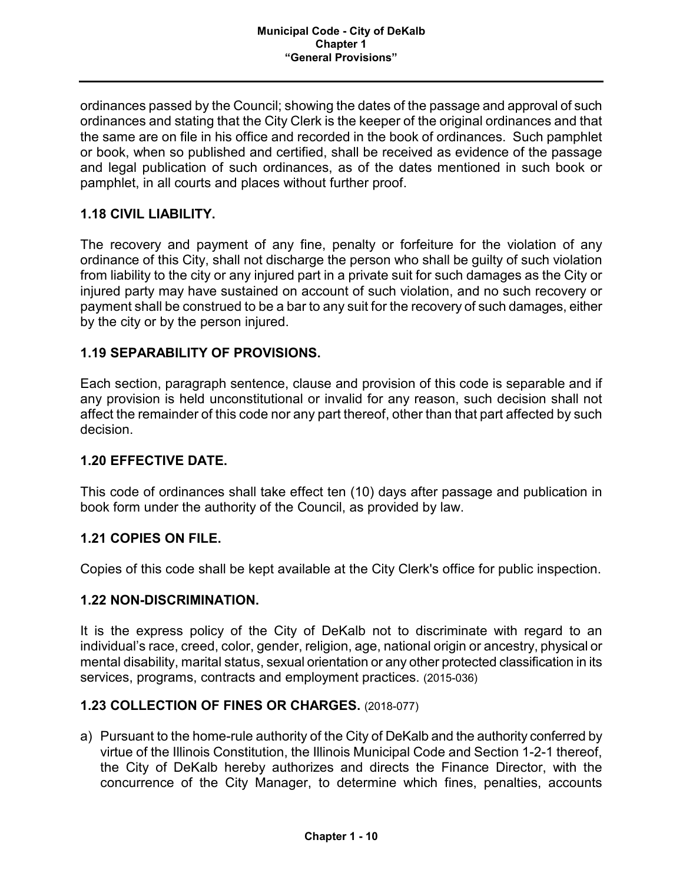ordinances passed by the Council; showing the dates of the passage and approval of such ordinances and stating that the City Clerk is the keeper of the original ordinances and that the same are on file in his office and recorded in the book of ordinances. Such pamphlet or book, when so published and certified, shall be received as evidence of the passage and legal publication of such ordinances, as of the dates mentioned in such book or pamphlet, in all courts and places without further proof.

# **1.18 CIVIL LIABILITY.**

The recovery and payment of any fine, penalty or forfeiture for the violation of any ordinance of this City, shall not discharge the person who shall be guilty of such violation from liability to the city or any injured part in a private suit for such damages as the City or injured party may have sustained on account of such violation, and no such recovery or payment shall be construed to be a bar to any suit for the recovery of such damages, either by the city or by the person injured.

### **1.19 SEPARABILITY OF PROVISIONS.**

Each section, paragraph sentence, clause and provision of this code is separable and if any provision is held unconstitutional or invalid for any reason, such decision shall not affect the remainder of this code nor any part thereof, other than that part affected by such decision.

#### **1.20 EFFECTIVE DATE.**

This code of ordinances shall take effect ten (10) days after passage and publication in book form under the authority of the Council, as provided by law.

#### **1.21 COPIES ON FILE.**

Copies of this code shall be kept available at the City Clerk's office for public inspection.

#### **1.22 NON-DISCRIMINATION.**

It is the express policy of the City of DeKalb not to discriminate with regard to an individual's race, creed, color, gender, religion, age, national origin or ancestry, physical or mental disability, marital status, sexual orientation or any other protected classification in its services, programs, contracts and employment practices. (2015-036)

# **1.23 COLLECTION OF FINES OR CHARGES.** (2018-077)

a) Pursuant to the home-rule authority of the City of DeKalb and the authority conferred by virtue of the Illinois Constitution, the Illinois Municipal Code and Section 1-2-1 thereof, the City of DeKalb hereby authorizes and directs the Finance Director, with the concurrence of the City Manager, to determine which fines, penalties, accounts